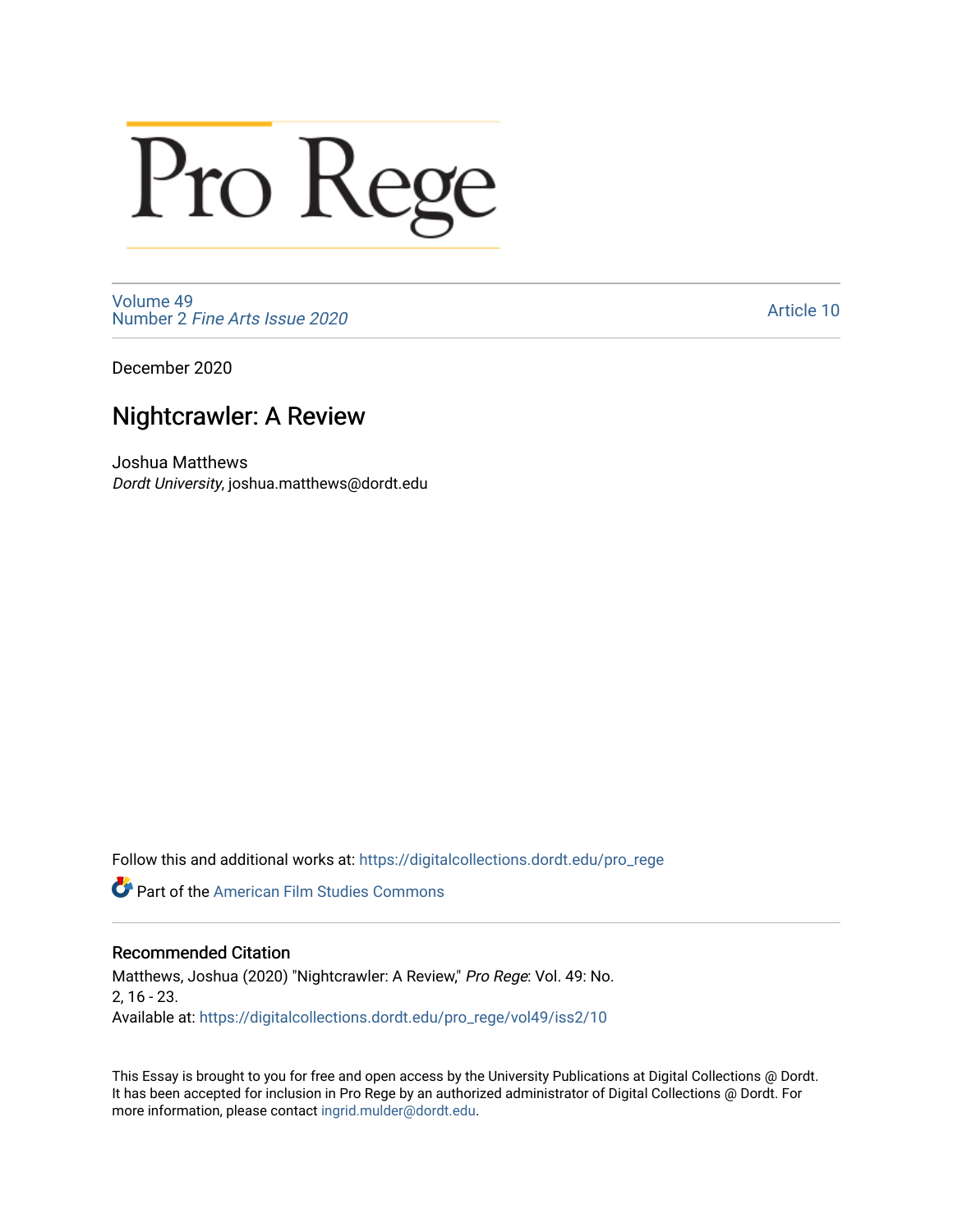# Pro Rege

[Volume 49](https://digitalcollections.dordt.edu/pro_rege/vol49) Number 2 [Fine Arts Issue 2020](https://digitalcollections.dordt.edu/pro_rege/vol49/iss2) 

[Article 10](https://digitalcollections.dordt.edu/pro_rege/vol49/iss2/10) 

December 2020

# Nightcrawler: A Review

Joshua Matthews Dordt University, joshua.matthews@dordt.edu

Follow this and additional works at: [https://digitalcollections.dordt.edu/pro\\_rege](https://digitalcollections.dordt.edu/pro_rege?utm_source=digitalcollections.dordt.edu%2Fpro_rege%2Fvol49%2Fiss2%2F10&utm_medium=PDF&utm_campaign=PDFCoverPages) 

Part of the [American Film Studies Commons](http://network.bepress.com/hgg/discipline/440?utm_source=digitalcollections.dordt.edu%2Fpro_rege%2Fvol49%2Fiss2%2F10&utm_medium=PDF&utm_campaign=PDFCoverPages) 

# Recommended Citation

Matthews, Joshua (2020) "Nightcrawler: A Review," Pro Rege: Vol. 49: No. 2, 16 - 23. Available at: [https://digitalcollections.dordt.edu/pro\\_rege/vol49/iss2/10](https://digitalcollections.dordt.edu/pro_rege/vol49/iss2/10?utm_source=digitalcollections.dordt.edu%2Fpro_rege%2Fvol49%2Fiss2%2F10&utm_medium=PDF&utm_campaign=PDFCoverPages)

This Essay is brought to you for free and open access by the University Publications at Digital Collections @ Dordt. It has been accepted for inclusion in Pro Rege by an authorized administrator of Digital Collections @ Dordt. For more information, please contact [ingrid.mulder@dordt.edu.](mailto:ingrid.mulder@dordt.edu)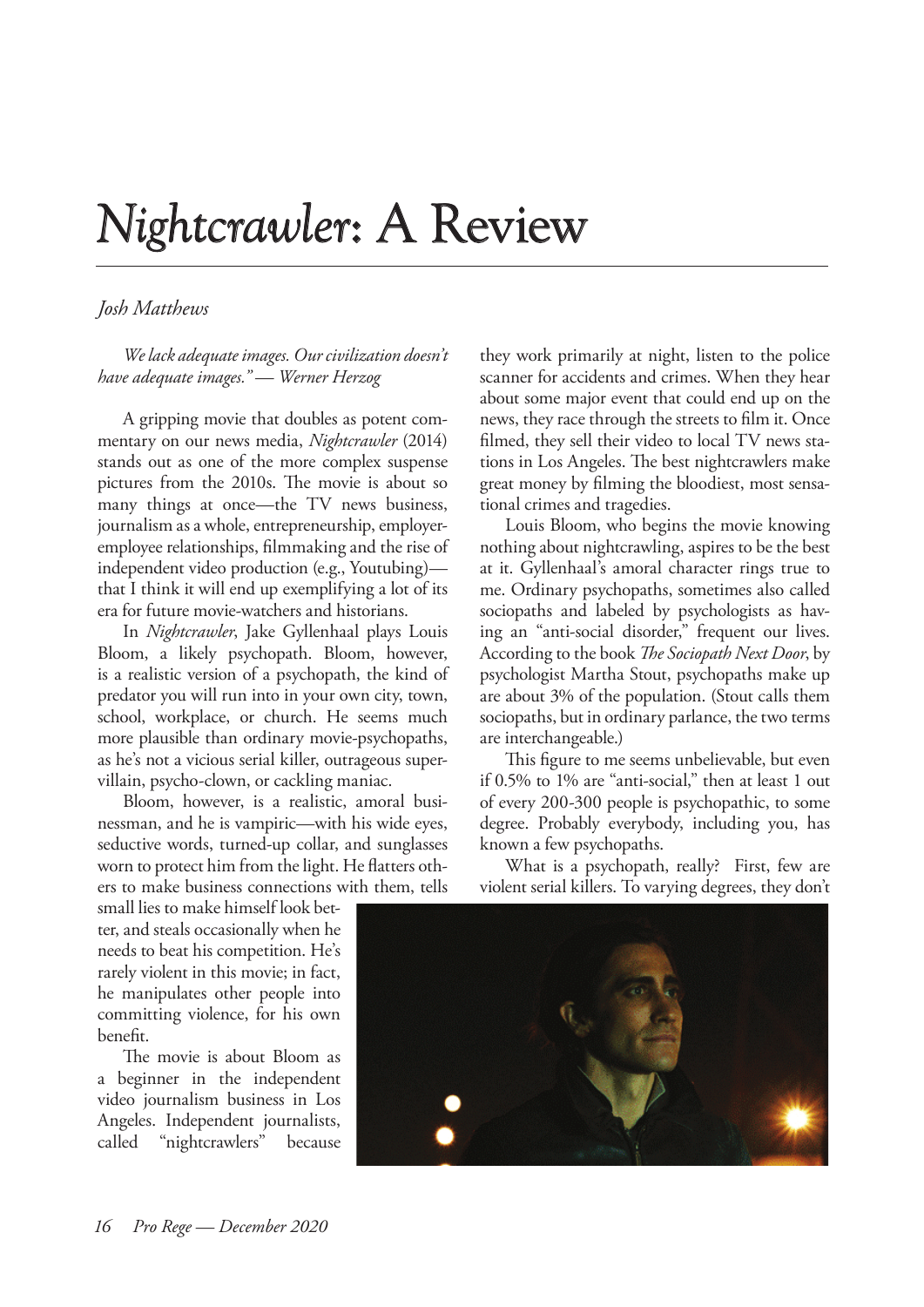# *Nightcrawler*: A Review

# *Josh Matthews*

*We lack adequate images. Our civilization doesn't have adequate images." — Werner Herzog*

A gripping movie that doubles as potent commentary on our news media, *Nightcrawler* (2014) stands out as one of the more complex suspense pictures from the 2010s. The movie is about so many things at once—the TV news business, journalism as a whole, entrepreneurship, employeremployee relationships, filmmaking and the rise of independent video production (e.g., Youtubing) that I think it will end up exemplifying a lot of its era for future movie-watchers and historians.

In *Nightcrawler*, Jake Gyllenhaal plays Louis Bloom, a likely psychopath. Bloom, however, is a realistic version of a psychopath, the kind of predator you will run into in your own city, town, school, workplace, or church. He seems much more plausible than ordinary movie-psychopaths, as he's not a vicious serial killer, outrageous supervillain, psycho-clown, or cackling maniac.

Bloom, however, is a realistic, amoral businessman, and he is vampiric—with his wide eyes, seductive words, turned-up collar, and sunglasses worn to protect him from the light. He flatters others to make business connections with them, tells

small lies to make himself look better, and steals occasionally when he needs to beat his competition. He's rarely violent in this movie; in fact, he manipulates other people into committing violence, for his own benefit.

The movie is about Bloom as a beginner in the independent video journalism business in Los Angeles. Independent journalists, called "nightcrawlers" because they work primarily at night, listen to the police scanner for accidents and crimes. When they hear about some major event that could end up on the news, they race through the streets to film it. Once filmed, they sell their video to local TV news stations in Los Angeles. The best nightcrawlers make great money by filming the bloodiest, most sensational crimes and tragedies.

Louis Bloom, who begins the movie knowing nothing about nightcrawling, aspires to be the best at it. Gyllenhaal's amoral character rings true to me. Ordinary psychopaths, sometimes also called sociopaths and labeled by psychologists as having an "anti-social disorder," frequent our lives. According to the book *The Sociopath Next Door*, by psychologist Martha Stout, psychopaths make up are about 3% of the population. (Stout calls them sociopaths, but in ordinary parlance, the two terms are interchangeable.)

This figure to me seems unbelievable, but even if 0.5% to 1% are "anti-social," then at least 1 out of every 200-300 people is psychopathic, to some degree. Probably everybody, including you, has known a few psychopaths.

What is a psychopath, really? First, few are violent serial killers. To varying degrees, they don't

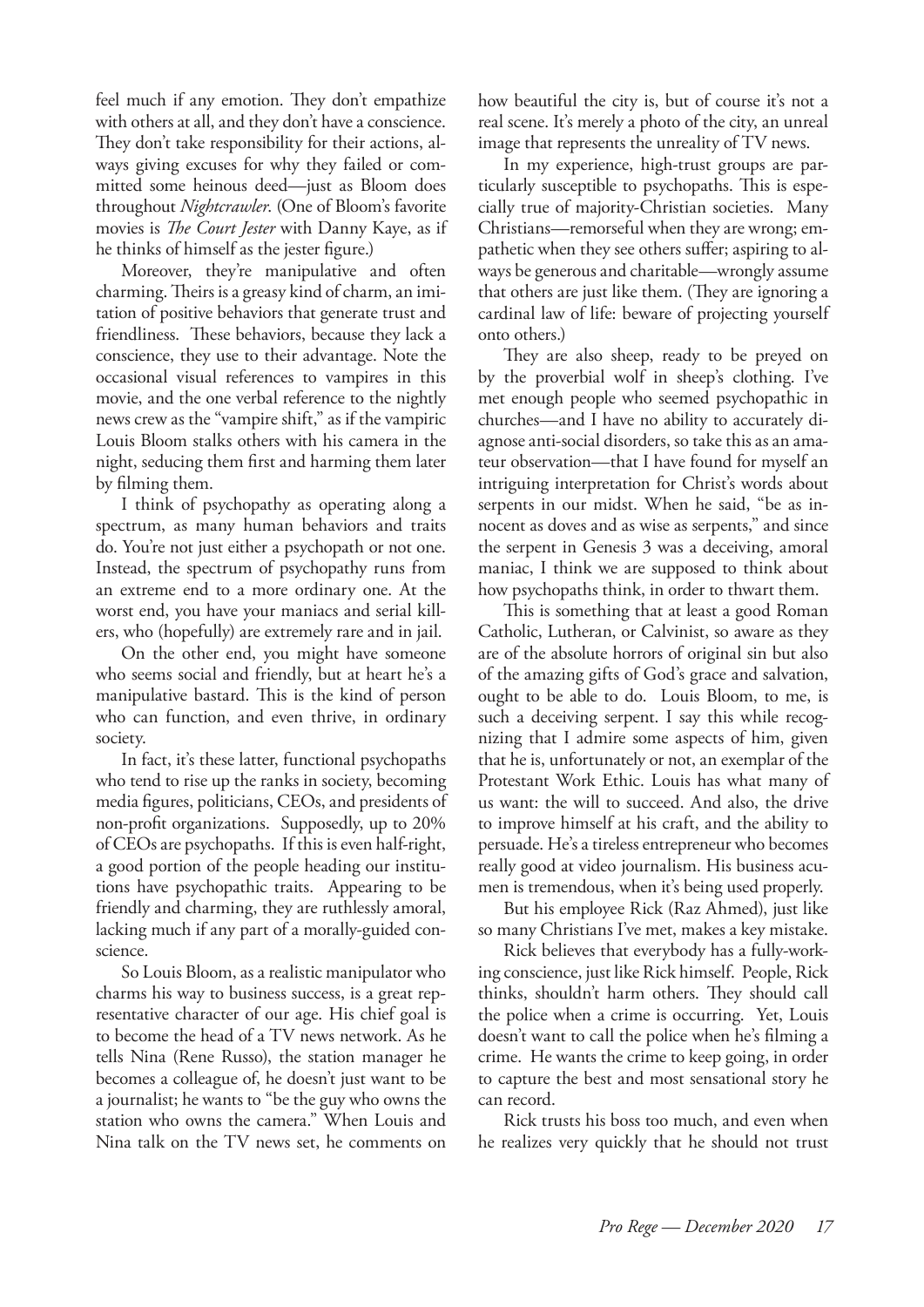feel much if any emotion. They don't empathize with others at all, and they don't have a conscience. They don't take responsibility for their actions, always giving excuses for why they failed or committed some heinous deed—just as Bloom does throughout *Nightcrawler*. (One of Bloom's favorite movies is *The Court Jester* with Danny Kaye, as if he thinks of himself as the jester figure.)

Moreover, they're manipulative and often charming. Theirs is a greasy kind of charm, an imitation of positive behaviors that generate trust and friendliness. These behaviors, because they lack a conscience, they use to their advantage. Note the occasional visual references to vampires in this movie, and the one verbal reference to the nightly news crew as the "vampire shift," as if the vampiric Louis Bloom stalks others with his camera in the night, seducing them first and harming them later by filming them.

I think of psychopathy as operating along a spectrum, as many human behaviors and traits do. You're not just either a psychopath or not one. Instead, the spectrum of psychopathy runs from an extreme end to a more ordinary one. At the worst end, you have your maniacs and serial killers, who (hopefully) are extremely rare and in jail.

On the other end, you might have someone who seems social and friendly, but at heart he's a manipulative bastard. This is the kind of person who can function, and even thrive, in ordinary society.

In fact, it's these latter, functional psychopaths who tend to rise up the ranks in society, becoming media figures, politicians, CEOs, and presidents of non-profit organizations. Supposedly, up to 20% of CEOs are psychopaths. If this is even half-right, a good portion of the people heading our institutions have psychopathic traits. Appearing to be friendly and charming, they are ruthlessly amoral, lacking much if any part of a morally-guided conscience.

So Louis Bloom, as a realistic manipulator who charms his way to business success, is a great representative character of our age. His chief goal is to become the head of a TV news network. As he tells Nina (Rene Russo), the station manager he becomes a colleague of, he doesn't just want to be a journalist; he wants to "be the guy who owns the station who owns the camera." When Louis and Nina talk on the TV news set, he comments on how beautiful the city is, but of course it's not a real scene. It's merely a photo of the city, an unreal image that represents the unreality of TV news.

In my experience, high-trust groups are particularly susceptible to psychopaths. This is especially true of majority-Christian societies. Many Christians—remorseful when they are wrong; empathetic when they see others suffer; aspiring to always be generous and charitable—wrongly assume that others are just like them. (They are ignoring a cardinal law of life: beware of projecting yourself onto others.)

They are also sheep, ready to be preyed on by the proverbial wolf in sheep's clothing. I've met enough people who seemed psychopathic in churches—and I have no ability to accurately diagnose anti-social disorders, so take this as an amateur observation—that I have found for myself an intriguing interpretation for Christ's words about serpents in our midst. When he said, "be as innocent as doves and as wise as serpents," and since the serpent in Genesis 3 was a deceiving, amoral maniac, I think we are supposed to think about how psychopaths think, in order to thwart them.

This is something that at least a good Roman Catholic, Lutheran, or Calvinist, so aware as they are of the absolute horrors of original sin but also of the amazing gifts of God's grace and salvation, ought to be able to do. Louis Bloom, to me, is such a deceiving serpent. I say this while recognizing that I admire some aspects of him, given that he is, unfortunately or not, an exemplar of the Protestant Work Ethic. Louis has what many of us want: the will to succeed. And also, the drive to improve himself at his craft, and the ability to persuade. He's a tireless entrepreneur who becomes really good at video journalism. His business acumen is tremendous, when it's being used properly.

But his employee Rick (Raz Ahmed), just like so many Christians I've met, makes a key mistake.

Rick believes that everybody has a fully-working conscience, just like Rick himself. People, Rick thinks, shouldn't harm others. They should call the police when a crime is occurring. Yet, Louis doesn't want to call the police when he's filming a crime. He wants the crime to keep going, in order to capture the best and most sensational story he can record.

Rick trusts his boss too much, and even when he realizes very quickly that he should not trust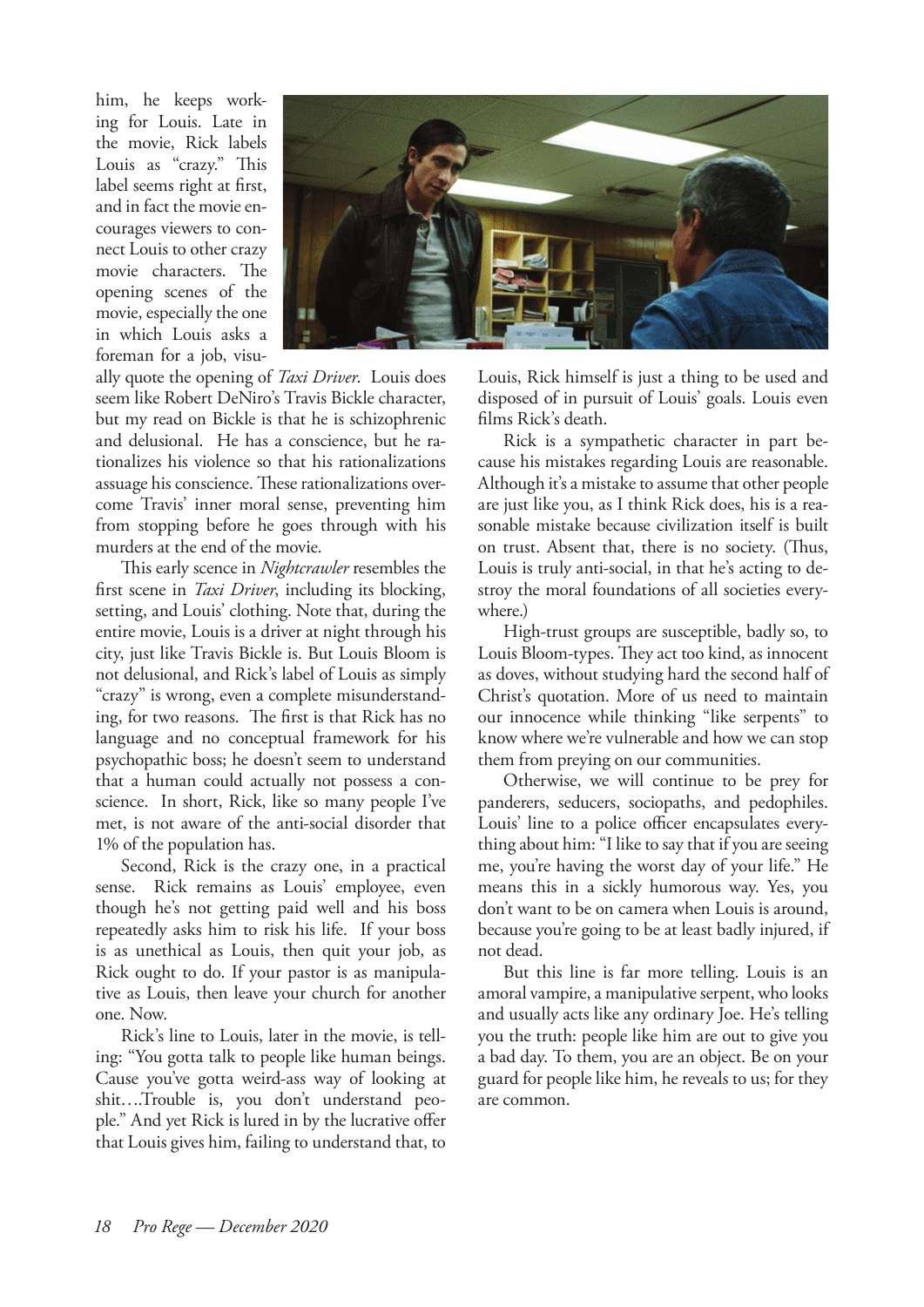him, he keeps working for Louis. Late in the movie, Rick labels Louis as "crazy." This label seems right at first, and in fact the movie encourages viewers to connect Louis to other crazy movie characters. The opening scenes of the movie, especially the one in which Louis asks a foreman for a job, visu-



ally quote the opening of *Taxi Driver*. Louis does seem like Robert DeNiro's Travis Bickle character, but my read on Bickle is that he is schizophrenic and delusional. He has a conscience, but he rationalizes his violence so that his rationalizations assuage his conscience. These rationalizations overcome Travis' inner moral sense, preventing him from stopping before he goes through with his murders at the end of the movie.

This early scence in *Nightcrawler* resembles the first scene in *Taxi Driver*, including its blocking, setting, and Louis' clothing. Note that, during the entire movie, Louis is a driver at night through his city, just like Travis Bickle is. But Louis Bloom is not delusional, and Rick's label of Louis as simply "crazy" is wrong, even a complete misunderstanding, for two reasons. The first is that Rick has no language and no conceptual framework for his psychopathic boss; he doesn't seem to understand that a human could actually not possess a conscience. In short, Rick, like so many people I've met, is not aware of the anti-social disorder that 1% of the population has.

Second, Rick is the crazy one, in a practical sense. Rick remains as Louis' employee, even though he's not getting paid well and his boss repeatedly asks him to risk his life. If your boss is as unethical as Louis, then quit your job, as Rick ought to do. If your pastor is as manipulative as Louis, then leave your church for another one. Now.

Rick's line to Louis, later in the movie, is telling: "You gotta talk to people like human beings. Cause you've gotta weird-ass way of looking at shit….Trouble is, you don't understand people." And yet Rick is lured in by the lucrative offer that Louis gives him, failing to understand that, to Louis, Rick himself is just a thing to be used and disposed of in pursuit of Louis' goals. Louis even films Rick's death.

Rick is a sympathetic character in part because his mistakes regarding Louis are reasonable. Although it's a mistake to assume that other people are just like you, as I think Rick does, his is a reasonable mistake because civilization itself is built on trust. Absent that, there is no society. (Thus, Louis is truly anti-social, in that he's acting to destroy the moral foundations of all societies everywhere.)

High-trust groups are susceptible, badly so, to Louis Bloom-types. They act too kind, as innocent as doves, without studying hard the second half of Christ's quotation. More of us need to maintain our innocence while thinking "like serpents" to know where we're vulnerable and how we can stop them from preying on our communities.

Otherwise, we will continue to be prey for panderers, seducers, sociopaths, and pedophiles. Louis' line to a police officer encapsulates everything about him: "I like to say that if you are seeing me, you're having the worst day of your life." He means this in a sickly humorous way. Yes, you don't want to be on camera when Louis is around, because you're going to be at least badly injured, if not dead.

But this line is far more telling. Louis is an amoral vampire, a manipulative serpent, who looks and usually acts like any ordinary Joe. He's telling you the truth: people like him are out to give you a bad day. To them, you are an object. Be on your guard for people like him, he reveals to us; for they are common.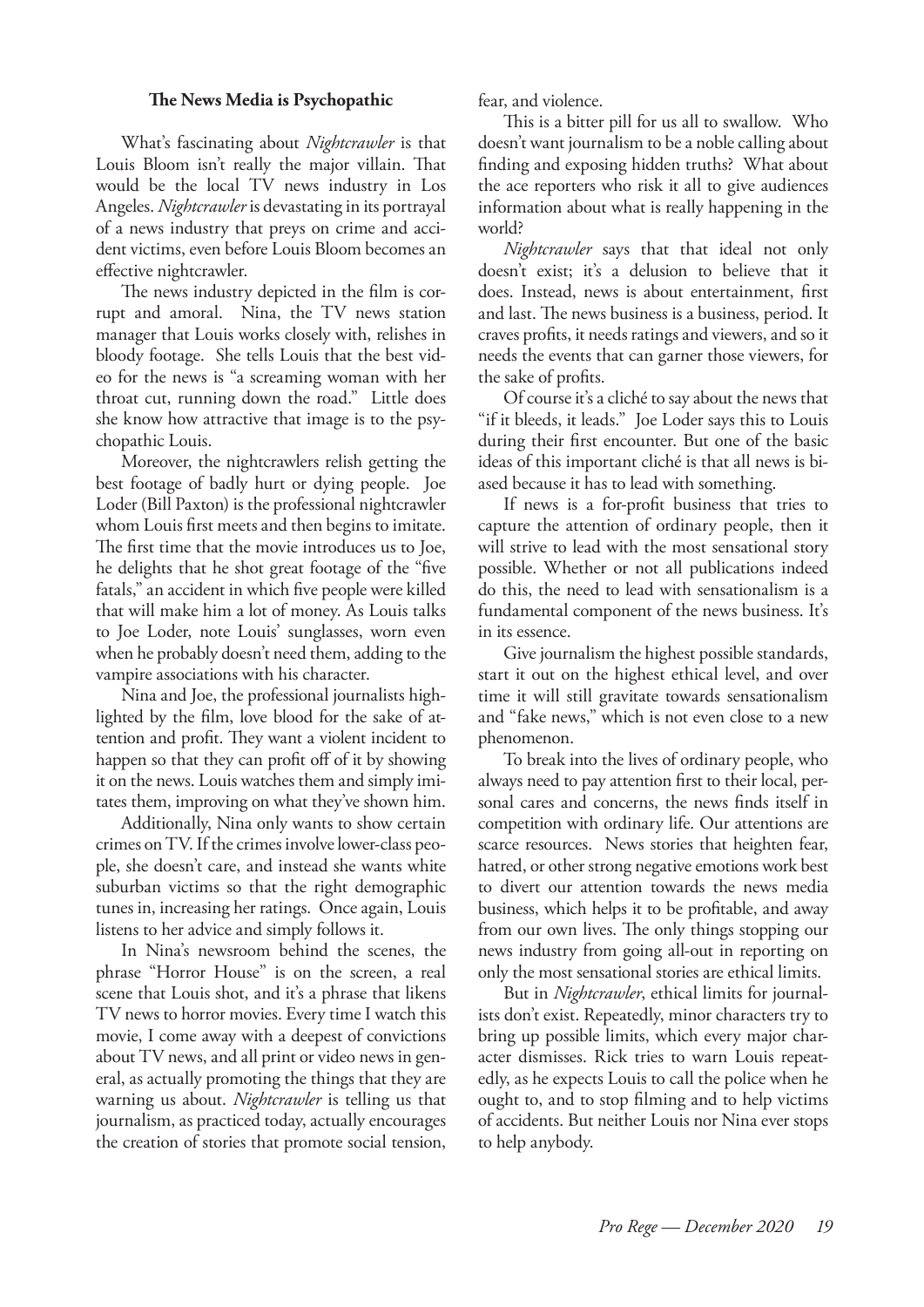### **The News Media is Psychopathic**

What's fascinating about *Nightcrawler* is that Louis Bloom isn't really the major villain. That would be the local TV news industry in Los Angeles. *Nightcrawler* is devastating in its portrayal of a news industry that preys on crime and accident victims, even before Louis Bloom becomes an effective nightcrawler.

The news industry depicted in the film is corrupt and amoral. Nina, the TV news station manager that Louis works closely with, relishes in bloody footage. She tells Louis that the best video for the news is "a screaming woman with her throat cut, running down the road." Little does she know how attractive that image is to the psychopathic Louis.

Moreover, the nightcrawlers relish getting the best footage of badly hurt or dying people. Joe Loder (Bill Paxton) is the professional nightcrawler whom Louis first meets and then begins to imitate. The first time that the movie introduces us to Joe, he delights that he shot great footage of the "five fatals," an accident in which five people were killed that will make him a lot of money. As Louis talks to Joe Loder, note Louis' sunglasses, worn even when he probably doesn't need them, adding to the vampire associations with his character.

Nina and Joe, the professional journalists highlighted by the film, love blood for the sake of attention and profit. They want a violent incident to happen so that they can profit off of it by showing it on the news. Louis watches them and simply imitates them, improving on what they've shown him.

Additionally, Nina only wants to show certain crimes on TV. If the crimes involve lower-class people, she doesn't care, and instead she wants white suburban victims so that the right demographic tunes in, increasing her ratings. Once again, Louis listens to her advice and simply follows it.

In Nina's newsroom behind the scenes, the phrase "Horror House" is on the screen, a real scene that Louis shot, and it's a phrase that likens TV news to horror movies. Every time I watch this movie, I come away with a deepest of convictions about TV news, and all print or video news in general, as actually promoting the things that they are warning us about. *Nightcrawler* is telling us that journalism, as practiced today, actually encourages the creation of stories that promote social tension,

fear, and violence.

This is a bitter pill for us all to swallow. Who doesn't want journalism to be a noble calling about finding and exposing hidden truths? What about the ace reporters who risk it all to give audiences information about what is really happening in the world?

*Nightcrawler*  says that that ideal not only doesn't exist; it's a delusion to believe that it does. Instead, news is about entertainment, first and last. The news business is a business, period. It craves profits, it needs ratings and viewers, and so it needs the events that can garner those viewers, for the sake of profits.

Of course it's a cliché to say about the news that "if it bleeds, it leads." Joe Loder says this to Louis during their first encounter. But one of the basic ideas of this important cliché is that all news is biased because it has to lead with something.

If news is a for-profit business that tries to capture the attention of ordinary people, then it will strive to lead with the most sensational story possible. Whether or not all publications indeed do this, the need to lead with sensationalism is a fundamental component of the news business. It's in its essence.

Give journalism the highest possible standards, start it out on the highest ethical level, and over time it will still gravitate towards sensationalism and "fake news," which is not even close to a new phenomenon.

To break into the lives of ordinary people, who always need to pay attention first to their local, personal cares and concerns, the news finds itself in competition with ordinary life. Our attentions are scarce resources. News stories that heighten fear, hatred, or other strong negative emotions work best to divert our attention towards the news media business, which helps it to be profitable, and away from our own lives. The only things stopping our news industry from going all-out in reporting on only the most sensational stories are ethical limits.

But in *Nightcrawler*, ethical limits for journalists don't exist. Repeatedly, minor characters try to bring up possible limits, which every major character dismisses. Rick tries to warn Louis repeatedly, as he expects Louis to call the police when he ought to, and to stop filming and to help victims of accidents. But neither Louis nor Nina ever stops to help anybody.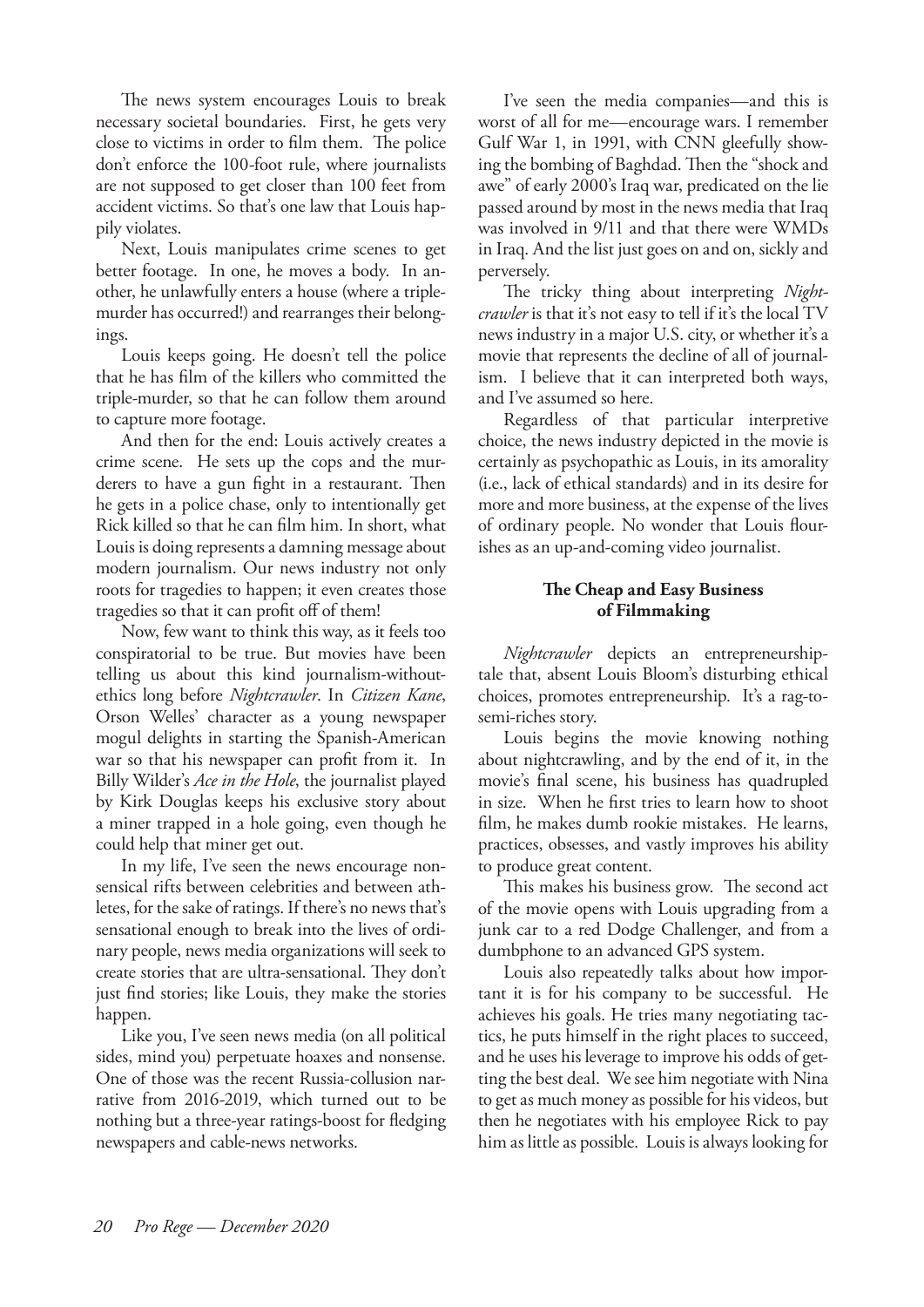The news system encourages Louis to break necessary societal boundaries. First, he gets very close to victims in order to film them. The police don't enforce the 100-foot rule, where journalists are not supposed to get closer than 100 feet from accident victims. So that's one law that Louis happily violates.

Next, Louis manipulates crime scenes to get better footage. In one, he moves a body. In another, he unlawfully enters a house (where a triplemurder has occurred!) and rearranges their belongings.

Louis keeps going. He doesn't tell the police that he has film of the killers who committed the triple-murder, so that he can follow them around to capture more footage.

And then for the end: Louis actively creates a crime scene. He sets up the cops and the murderers to have a gun fight in a restaurant. Then he gets in a police chase, only to intentionally get Rick killed so that he can film him. In short, what Louis is doing represents a damning message about modern journalism. Our news industry not only roots for tragedies to happen; it even creates those tragedies so that it can profit off of them!

Now, few want to think this way, as it feels too conspiratorial to be true. But movies have been telling us about this kind journalism-withoutethics long before *Nightcrawler*. In *Citizen Kane*, Orson Welles' character as a young newspaper mogul delights in starting the Spanish-American war so that his newspaper can profit from it. In Billy Wilder's *Ace in the Hole*, the journalist played by Kirk Douglas keeps his exclusive story about a miner trapped in a hole going, even though he could help that miner get out.

In my life, I've seen the news encourage nonsensical rifts between celebrities and between athletes, for the sake of ratings. If there's no news that's sensational enough to break into the lives of ordinary people, news media organizations will seek to create stories that are ultra-sensational. They don't just find stories; like Louis, they make the stories happen.

Like you, I've seen news media (on all political sides, mind you) perpetuate hoaxes and nonsense. One of those was the recent Russia-collusion narrative from 2016-2019, which turned out to be nothing but a three-year ratings-boost for fledging newspapers and cable-news networks.

I've seen the media companies—and this is worst of all for me—encourage wars. I remember Gulf War 1, in 1991, with CNN gleefully showing the bombing of Baghdad. Then the "shock and awe" of early 2000's Iraq war, predicated on the lie passed around by most in the news media that Iraq was involved in 9/11 and that there were WMDs in Iraq. And the list just goes on and on, sickly and perversely.

The tricky thing about interpreting *Nightcrawler* is that it's not easy to tell if it's the local TV news industry in a major U.S. city, or whether it's a movie that represents the decline of all of journalism. I believe that it can interpreted both ways, and I've assumed so here.

Regardless of that particular interpretive choice, the news industry depicted in the movie is certainly as psychopathic as Louis, in its amorality (i.e., lack of ethical standards) and in its desire for more and more business, at the expense of the lives of ordinary people. No wonder that Louis flourishes as an up-and-coming video journalist.

## **The Cheap and Easy Business of Filmmaking**

*Nightcrawler*  depicts an entrepreneurshiptale that, absent Louis Bloom's disturbing ethical choices, promotes entrepreneurship. It's a rag-tosemi-riches story.

Louis begins the movie knowing nothing about nightcrawling, and by the end of it, in the movie's final scene, his business has quadrupled in size. When he first tries to learn how to shoot film, he makes dumb rookie mistakes. He learns, practices, obsesses, and vastly improves his ability to produce great content.

This makes his business grow. The second act of the movie opens with Louis upgrading from a junk car to a red Dodge Challenger, and from a dumbphone to an advanced GPS system.

Louis also repeatedly talks about how important it is for his company to be successful. He achieves his goals. He tries many negotiating tactics, he puts himself in the right places to succeed, and he uses his leverage to improve his odds of getting the best deal. We see him negotiate with Nina to get as much money as possible for his videos, but then he negotiates with his employee Rick to pay him as little as possible. Louis is always looking for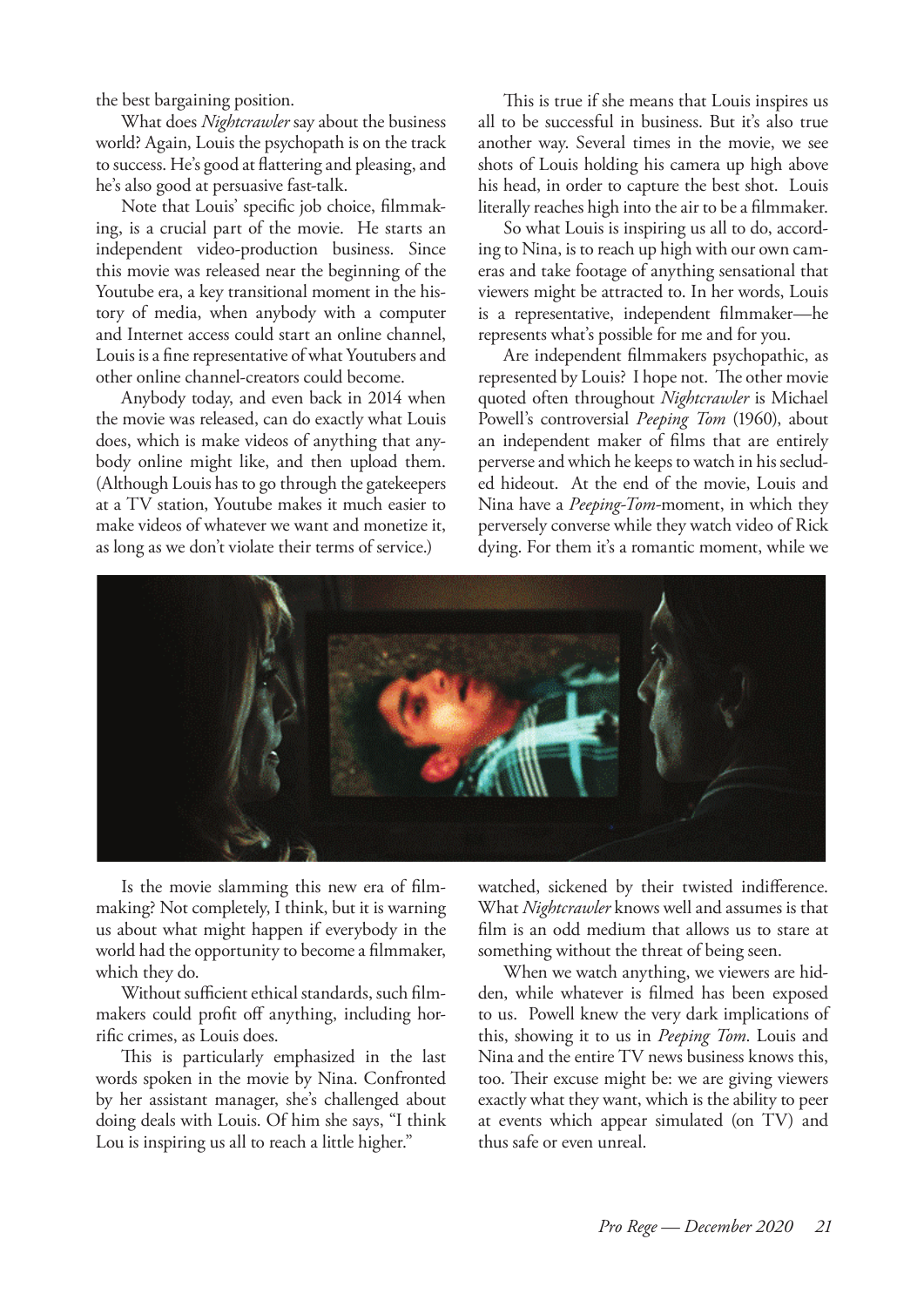the best bargaining position.

What does *Nightcrawler* say about the business world? Again, Louis the psychopath is on the track to success. He's good at flattering and pleasing, and he's also good at persuasive fast-talk.

Note that Louis' specific job choice, filmmaking, is a crucial part of the movie. He starts an independent video-production business. Since this movie was released near the beginning of the Youtube era, a key transitional moment in the history of media, when anybody with a computer and Internet access could start an online channel, Louis is a fine representative of what Youtubers and other online channel-creators could become.

Anybody today, and even back in 2014 when the movie was released, can do exactly what Louis does, which is make videos of anything that anybody online might like, and then upload them. (Although Louis has to go through the gatekeepers at a TV station, Youtube makes it much easier to make videos of whatever we want and monetize it, as long as we don't violate their terms of service.)

This is true if she means that Louis inspires us all to be successful in business. But it's also true another way. Several times in the movie, we see shots of Louis holding his camera up high above his head, in order to capture the best shot. Louis literally reaches high into the air to be a filmmaker.

So what Louis is inspiring us all to do, according to Nina, is to reach up high with our own cameras and take footage of anything sensational that viewers might be attracted to. In her words, Louis is a representative, independent filmmaker—he represents what's possible for me and for you.

Are independent filmmakers psychopathic, as represented by Louis? I hope not. The other movie quoted often throughout *Nightcrawler* is Michael Powell's controversial *Peeping Tom* (1960), about an independent maker of films that are entirely perverse and which he keeps to watch in his secluded hideout. At the end of the movie, Louis and Nina have a *Peeping-Tom-*moment, in which they perversely converse while they watch video of Rick dying. For them it's a romantic moment, while we



Is the movie slamming this new era of filmmaking? Not completely, I think, but it is warning us about what might happen if everybody in the world had the opportunity to become a filmmaker, which they do.

Without sufficient ethical standards, such filmmakers could profit off anything, including horrific crimes, as Louis does.

This is particularly emphasized in the last words spoken in the movie by Nina. Confronted by her assistant manager, she's challenged about doing deals with Louis. Of him she says, "I think Lou is inspiring us all to reach a little higher."

watched, sickened by their twisted indifference. What *Nightcrawler* knows well and assumes is that film is an odd medium that allows us to stare at something without the threat of being seen.

When we watch anything, we viewers are hidden, while whatever is filmed has been exposed to us. Powell knew the very dark implications of this, showing it to us in *Peeping Tom*. Louis and Nina and the entire TV news business knows this, too. Their excuse might be: we are giving viewers exactly what they want, which is the ability to peer at events which appear simulated (on TV) and thus safe or even unreal.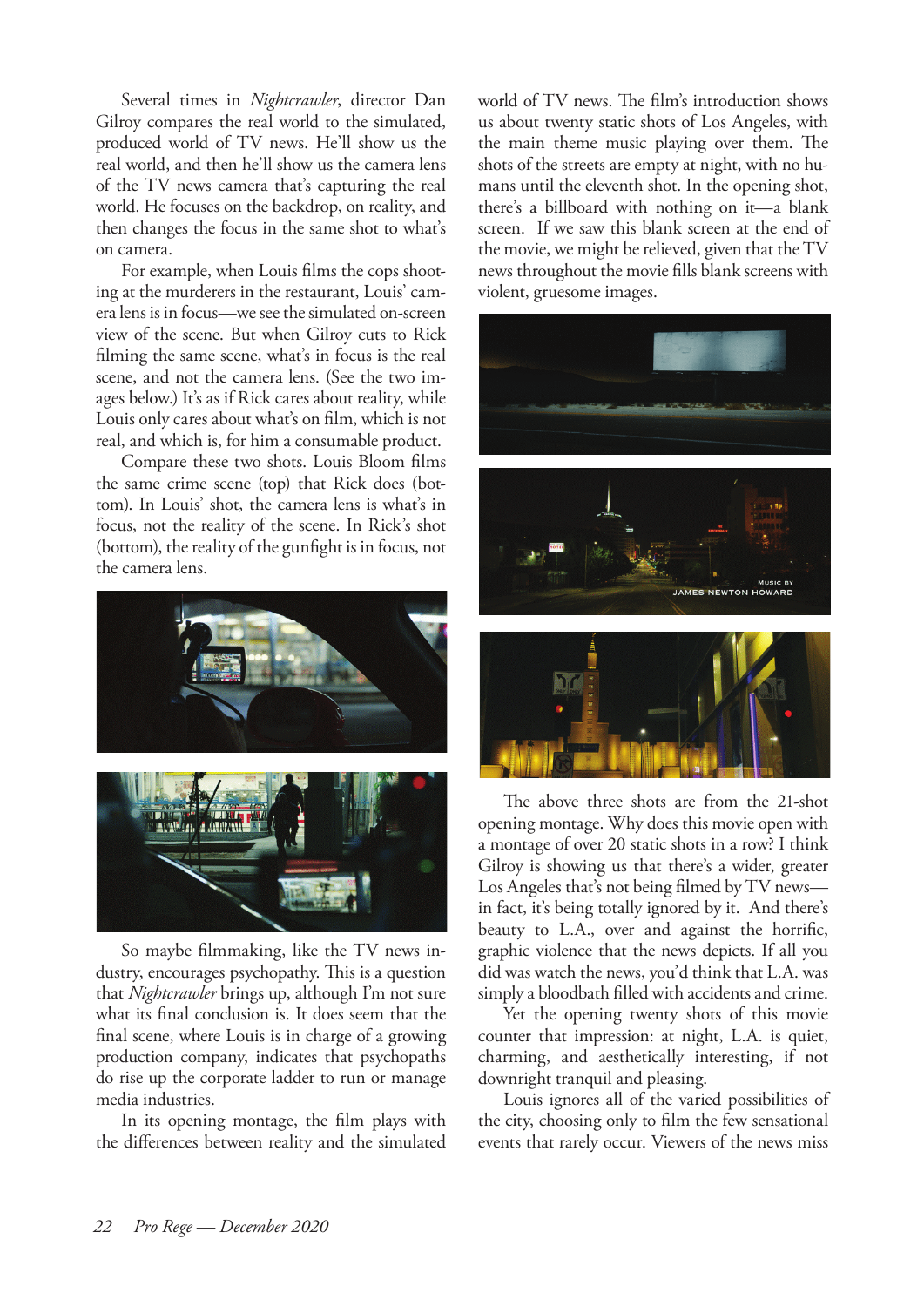Several times in *Nightcrawler*, director Dan Gilroy compares the real world to the simulated, produced world of TV news. He'll show us the real world, and then he'll show us the camera lens of the TV news camera that's capturing the real world. He focuses on the backdrop, on reality, and then changes the focus in the same shot to what's on camera.

For example, when Louis films the cops shooting at the murderers in the restaurant, Louis' camera lens is in focus—we see the simulated on-screen view of the scene. But when Gilroy cuts to Rick filming the same scene, what's in focus is the real scene, and not the camera lens. (See the two images below.) It's as if Rick cares about reality, while Louis only cares about what's on film, which is not real, and which is, for him a consumable product.

Compare these two shots. Louis Bloom films the same crime scene (top) that Rick does (bottom). In Louis' shot, the camera lens is what's in focus, not the reality of the scene. In Rick's shot (bottom), the reality of the gunfight is in focus, not the camera lens.



So maybe filmmaking, like the TV news industry, encourages psychopathy. This is a question that *Nightcrawler* brings up, although I'm not sure what its final conclusion is. It does seem that the final scene, where Louis is in charge of a growing production company, indicates that psychopaths do rise up the corporate ladder to run or manage media industries.

In its opening montage, the film plays with the differences between reality and the simulated world of TV news. The film's introduction shows us about twenty static shots of Los Angeles, with the main theme music playing over them. The shots of the streets are empty at night, with no humans until the eleventh shot. In the opening shot, there's a billboard with nothing on it—a blank screen. If we saw this blank screen at the end of the movie, we might be relieved, given that the TV news throughout the movie fills blank screens with violent, gruesome images.



The above three shots are from the 21-shot opening montage. Why does this movie open with a montage of over 20 static shots in a row? I think Gilroy is showing us that there's a wider, greater Los Angeles that's not being filmed by TV news in fact, it's being totally ignored by it. And there's beauty to L.A., over and against the horrific, graphic violence that the news depicts. If all you did was watch the news, you'd think that L.A. was simply a bloodbath filled with accidents and crime.

Yet the opening twenty shots of this movie counter that impression: at night, L.A. is quiet, charming, and aesthetically interesting, if not downright tranquil and pleasing.

Louis ignores all of the varied possibilities of the city, choosing only to film the few sensational events that rarely occur. Viewers of the news miss